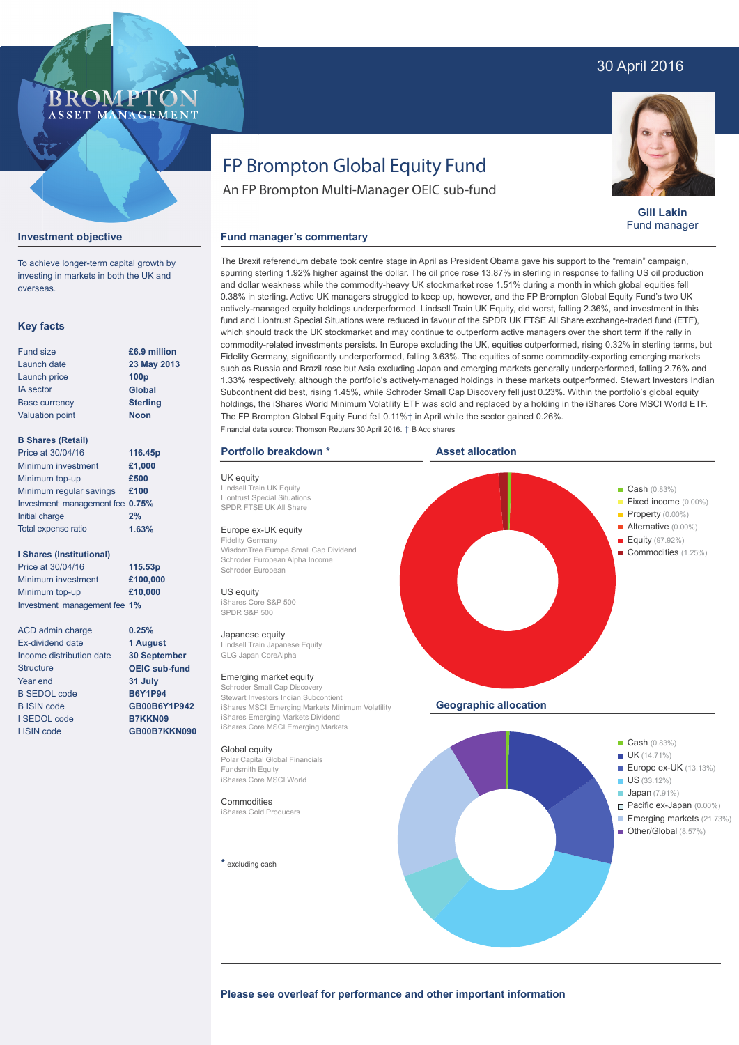## 30 April 2016

### **BROMPTO** ASSET MANAGEMENT

**Gill Lakin** Fund manager

#### **Investment objective**

**Key facts**

To achieve longer-term capital growth by investing in markets in both the UK and overseas.

**23 May 2013**

| <b>Fund size</b>         | £6.9 million     |
|--------------------------|------------------|
| Launch date              | 23 May 2013      |
| Launch price             | 100 <sub>p</sub> |
| <b>IA</b> sector         | Global           |
| <b>Base currency</b>     | <b>Sterling</b>  |
| <b>Valuation point</b>   | <b>Noon</b>      |
|                          |                  |
| <b>B Shares (Retail)</b> |                  |
| Price at 30/04/16        | 116.45p          |
| Minimum investment       | £1 000           |

| Minimum investment              | £1,000 |
|---------------------------------|--------|
| Minimum top-up                  | £500   |
| Minimum regular savings         | £100   |
| Investment management fee 0.75% |        |
| Initial charge                  | 2%     |
| Total expense ratio             | 1.63%  |

#### **I Shares (Institutional)**

Price at 30/04/16 Minimum investment Minimum top-up Investment management fee **1% 115.53p £100,000 £10,000**

> **0.25% 1 August 30 September OEIC sub-fund 31 July B6Y1P94 GB00B6Y1P942 B7KKN09 GB00B7KKN090**

ACD admin charge Ex-dividend date Income distribution date **Structure** Year end B SEDOL code B ISIN code I SEDOL code I ISIN code

# FP Brompton Global Equity Fund

An FP Brompton Multi-Manager OEIC sub-fund

#### **Fund manager's commentary**

The Brexit referendum debate took centre stage in April as President Obama gave his support to the "remain" campaign, spurring sterling 1.92% higher against the dollar. The oil price rose 13.87% in sterling in response to falling US oil production and dollar weakness while the commodity-heavy UK stockmarket rose 1.51% during a month in which global equities fell 0.38% in sterling. Active UK managers struggled to keep up, however, and the FP Brompton Global Equity Fund's two UK actively-managed equity holdings underperformed. Lindsell Train UK Equity, did worst, falling 2.36%, and investment in this fund and Liontrust Special Situations were reduced in favour of the SPDR UK FTSE All Share exchange-traded fund (ETF), which should track the UK stockmarket and may continue to outperform active managers over the short term if the rally in commodity-related investments persists. In Europe excluding the UK, equities outperformed, rising 0.32% in sterling terms, but Fidelity Germany, significantly underperformed, falling 3.63%. The equities of some commodity-exporting emerging markets such as Russia and Brazil rose but Asia excluding Japan and emerging markets generally underperformed, falling 2.76% and 1.33% respectively, although the portfolio's actively-managed holdings in these markets outperformed. Stewart Investors Indian Subcontinent did best, rising 1.45%, while Schroder Small Cap Discovery fell just 0.23%. Within the portfolio's global equity holdings, the iShares World Minimum Volatility ETF was sold and replaced by a holding in the iShares Core MSCI World ETF. The FP Brompton Global Equity Fund fell 0.11%† in April while the sector gained 0.26%. Financial data source: Thomson Reuters 30 April 2016. † B Acc shares

#### **Portfolio breakdown \***

UK equity Lindsell Train UK Equity Liontrust Special Situations SPDR FTSE UK All Share

### Europe ex-UK equity

Fidelity Germany WisdomTree Europe Small Cap Dividend Schroder European Alpha Income Schroder European

US equity iShares Core S&P 500 SPDR S&P 500

#### Japanese equity

Lindsell Train Japanese Equity GLG Japan CoreAlpha

#### Emerging market equity

Schroder Small Cap Discovery Stewart Investors Indian Subcontient iShares MSCI Emerging Markets Minimum Volatility iShares Emerging Markets Dividend iShares Core MSCI Emerging Markets

#### Global equity

Polar Capital Global Financials Fundsmith Equity iShares Core MSCI World

#### **Commodities** iShares Gold Producers

**\*** excluding cash



Please see overleaf for performance and other important information